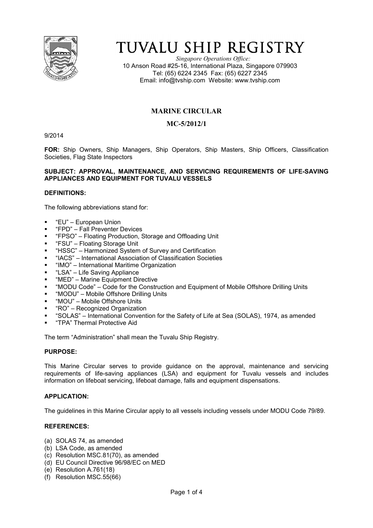

# TUVALU SHIP REGISTRY

*Singapore Operations Office:* 10 Anson Road #25-16, International Plaza, Singapore 079903 Tel: (65) 6224 2345 Fax: (65) 6227 2345 Email: info@tvship.com Website: www.tvship.com

# **MARINE CIRCULAR**

# **MC-5/2012/1**

9/2014

**FOR:** Ship Owners, Ship Managers, Ship Operators, Ship Masters, Ship Officers, Classification Societies, Flag State Inspectors

#### **SUBJECT: APPROVAL, MAINTENANCE, AND SERVICING REQUIREMENTS OF LIFE-SAVING APPLIANCES AND EQUIPMENT FOR TUVALU VESSELS**

# **DEFINITIONS:**

The following abbreviations stand for:

- "EU" European Union
- "FPD" Fall Preventer Devices
- "FPSO" Floating Production, Storage and Offloading Unit
- "FSU" Floating Storage Unit
- "HSSC" Harmonized System of Survey and Certification
- "IACS" International Association of Classification Societies
- "IMO" International Maritime Organization
- "LSA" Life Saving Appliance
- "MED" Marine Equipment Directive
- "MODU Code" Code for the Construction and Equipment of Mobile Offshore Drilling Units
- "MODU" Mobile Offshore Drilling Units
- "MOU" Mobile Offshore Units
- "RO" Recognized Organization
- "SOLAS" International Convention for the Safety of Life at Sea (SOLAS), 1974, as amended
- "TPA" Thermal Protective Aid

The term "Administration" shall mean the Tuvalu Ship Registry.

#### **PURPOSE:**

This Marine Circular serves to provide guidance on the approval, maintenance and servicing requirements of life-saving appliances (LSA) and equipment for Tuvalu vessels and includes information on lifeboat servicing, lifeboat damage, falls and equipment dispensations.

# **APPLICATION:**

The guidelines in this Marine Circular apply to all vessels including vessels under MODU Code 79/89.

# **REFERENCES:**

- (a) SOLAS 74, as amended
- (b) LSA Code, as amended
- (c) Resolution MSC.81(70), as amended
- (d) EU Council Directive 96/98/EC on MED
- (e) Resolution A.761(18)
- (f) Resolution MSC.55(66)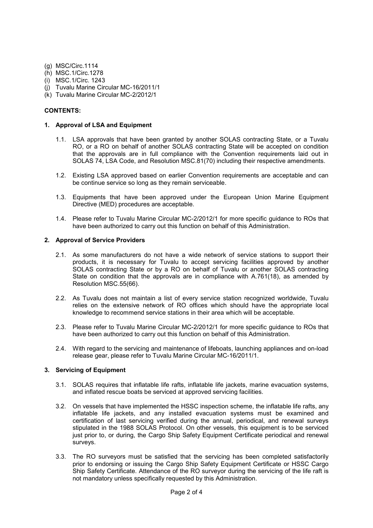- (g) MSC/Circ.1114
- (h) MSC.1/Circ.1278
- (i) MSC.1/Circ. 1243
- (j) Tuvalu Marine Circular MC-16/2011/1
- (k) Tuvalu Marine Circular MC-2/2012/1

#### **CONTENTS:**

### **1. Approval of LSA and Equipment**

- 1.1. LSA approvals that have been granted by another SOLAS contracting State, or a Tuvalu RO, or a RO on behalf of another SOLAS contracting State will be accepted on condition that the approvals are in full compliance with the Convention requirements laid out in SOLAS 74, LSA Code, and Resolution MSC.81(70) including their respective amendments.
- 1.2. Existing LSA approved based on earlier Convention requirements are acceptable and can be continue service so long as they remain serviceable.
- 1.3. Equipments that have been approved under the European Union Marine Equipment Directive (MED) procedures are acceptable.
- 1.4. Please refer to Tuvalu Marine Circular MC-2/2012/1 for more specific guidance to ROs that have been authorized to carry out this function on behalf of this Administration.

#### **2. Approval of Service Providers**

- 2.1. As some manufacturers do not have a wide network of service stations to support their products, it is necessary for Tuvalu to accept servicing facilities approved by another SOLAS contracting State or by a RO on behalf of Tuvalu or another SOLAS contracting State on condition that the approvals are in compliance with A.761(18), as amended by Resolution MSC.55(66).
- 2.2. As Tuvalu does not maintain a list of every service station recognized worldwide, Tuvalu relies on the extensive network of RO offices which should have the appropriate local knowledge to recommend service stations in their area which will be acceptable.
- 2.3. Please refer to Tuvalu Marine Circular MC-2/2012/1 for more specific guidance to ROs that have been authorized to carry out this function on behalf of this Administration.
- 2.4. With regard to the servicing and maintenance of lifeboats, launching appliances and on-load release gear, please refer to Tuvalu Marine Circular MC-16/2011/1.

# **3. Servicing of Equipment**

- 3.1. SOLAS requires that inflatable life rafts, inflatable life jackets, marine evacuation systems, and inflated rescue boats be serviced at approved servicing facilities.
- 3.2. On vessels that have implemented the HSSC inspection scheme, the inflatable life rafts, any inflatable life jackets, and any installed evacuation systems must be examined and certification of last servicing verified during the annual, periodical, and renewal surveys stipulated in the 1988 SOLAS Protocol. On other vessels, this equipment is to be serviced just prior to, or during, the Cargo Ship Safety Equipment Certificate periodical and renewal surveys.
- 3.3. The RO surveyors must be satisfied that the servicing has been completed satisfactorily prior to endorsing or issuing the Cargo Ship Safety Equipment Certificate or HSSC Cargo Ship Safety Certificate. Attendance of the RO surveyor during the servicing of the life raft is not mandatory unless specifically requested by this Administration.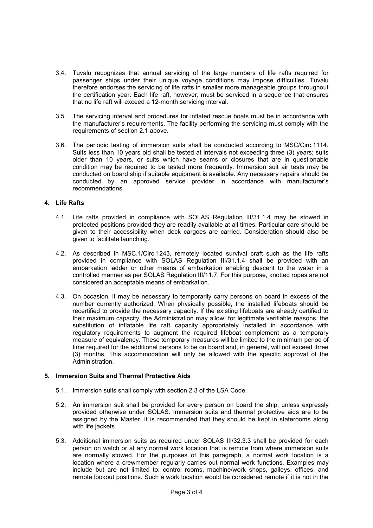- 3.4. Tuvalu recognizes that annual servicing of the large numbers of life rafts required for passenger ships under their unique voyage conditions may impose difficulties. Tuvalu therefore endorses the servicing of life rafts in smaller more manageable groups throughout the certification year. Each life raft, however, must be serviced in a sequence that ensures that no life raft will exceed a 12-month servicing interval.
- 3.5. The servicing interval and procedures for inflated rescue boats must be in accordance with the manufacturer's requirements. The facility performing the servicing must comply with the requirements of section 2.1 above.
- 3.6. The periodic testing of immersion suits shall be conducted according to MSC/Circ.1114. Suits less than 10 years old shall be tested at intervals not exceeding three (3) years; suits older than 10 years, or suits which have seams or closures that are in questionable condition may be required to be tested more frequently. Immersion suit air tests may be conducted on board ship if suitable equipment is available. Any necessary repairs should be conducted by an approved service provider in accordance with manufacturer's recommendations.

# **4. Life Rafts**

- 4.1. Life rafts provided in compliance with SOLAS Regulation III/31.1.4 may be stowed in protected positions provided they are readily available at all times. Particular care should be given to their accessibility when deck cargoes are carried. Consideration should also be given to facilitate launching.
- 4.2. As described in MSC.1/Circ.1243, remotely located survival craft such as the life rafts provided in compliance with SOLAS Regulation III/31.1.4 shall be provided with an embarkation ladder or other means of embarkation enabling descent to the water in a controlled manner as per SOLAS Regulation III/11.7. For this purpose, knotted ropes are not considered an acceptable means of embarkation.
- 4.3. On occasion, it may be necessary to temporarily carry persons on board in excess of the number currently authorized. When physically possible, the installed lifeboats should be recertified to provide the necessary capacity. If the existing lifeboats are already certified to their maximum capacity, the Administration may allow, for legitimate verifiable reasons, the substitution of inflatable life raft capacity appropriately installed in accordance with regulatory requirements to augment the required lifeboat complement as a temporary measure of equivalency. These temporary measures will be limited to the minimum period of time required for the additional persons to be on board and, in general, will not exceed three (3) months. This accommodation will only be allowed with the specific approval of the Administration.

#### **5. Immersion Suits and Thermal Protective Aids**

- 5.1. Immersion suits shall comply with section 2.3 of the LSA Code.
- 5.2. An immersion suit shall be provided for every person on board the ship, unless expressly provided otherwise under SOLAS. Immersion suits and thermal protective aids are to be assigned by the Master. It is recommended that they should be kept in staterooms along with life jackets.
- 5.3. Additional immersion suits as required under SOLAS III/32.3.3 shall be provided for each person on watch or at any normal work location that is remote from where immersion suits are normally stowed. For the purposes of this paragraph, a normal work location is a location where a crewmember regularly carries out normal work functions. Examples may include but are not limited to: control rooms, machine/work shops, galleys, offices, and remote lookout positions. Such a work location would be considered remote if it is not in the